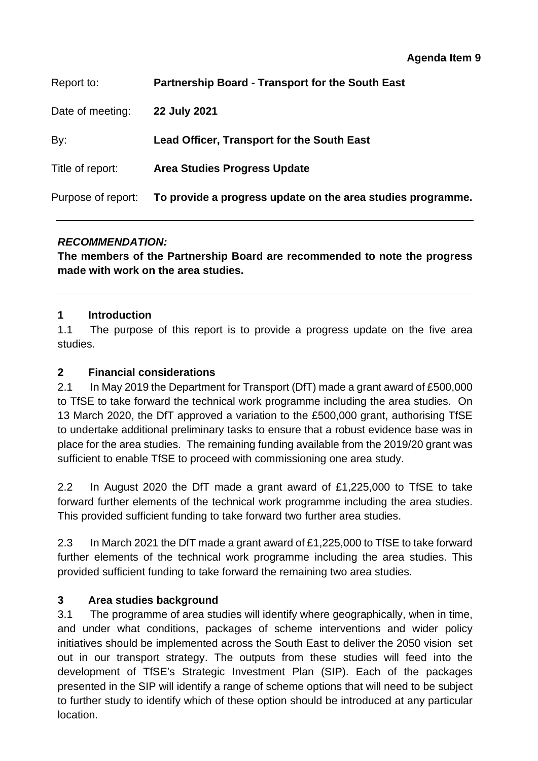| Report to:         | Partnership Board - Transport for the South East            |
|--------------------|-------------------------------------------------------------|
| Date of meeting:   | 22 July 2021                                                |
| By:                | <b>Lead Officer, Transport for the South East</b>           |
| Title of report:   | <b>Area Studies Progress Update</b>                         |
| Purpose of report: | To provide a progress update on the area studies programme. |
|                    |                                                             |

### *RECOMMENDATION:*

**The members of the Partnership Board are recommended to note the progress made with work on the area studies.** 

### **1 Introduction**

1.1 The purpose of this report is to provide a progress update on the five area studies.

### **2 Financial considerations**

2.1 In May 2019 the Department for Transport (DfT) made a grant award of £500,000 to TfSE to take forward the technical work programme including the area studies. On 13 March 2020, the DfT approved a variation to the £500,000 grant, authorising TfSE to undertake additional preliminary tasks to ensure that a robust evidence base was in place for the area studies. The remaining funding available from the 2019/20 grant was sufficient to enable TfSE to proceed with commissioning one area study.

2.2 In August 2020 the DfT made a grant award of £1,225,000 to TfSE to take forward further elements of the technical work programme including the area studies. This provided sufficient funding to take forward two further area studies.

2.3 In March 2021 the DfT made a grant award of £1,225,000 to TfSE to take forward further elements of the technical work programme including the area studies. This provided sufficient funding to take forward the remaining two area studies.

### **3 Area studies background**

3.1 The programme of area studies will identify where geographically, when in time, and under what conditions, packages of scheme interventions and wider policy initiatives should be implemented across the South East to deliver the 2050 vision set out in our transport strategy. The outputs from these studies will feed into the development of TfSE's Strategic Investment Plan (SIP). Each of the packages presented in the SIP will identify a range of scheme options that will need to be subject to further study to identify which of these option should be introduced at any particular location.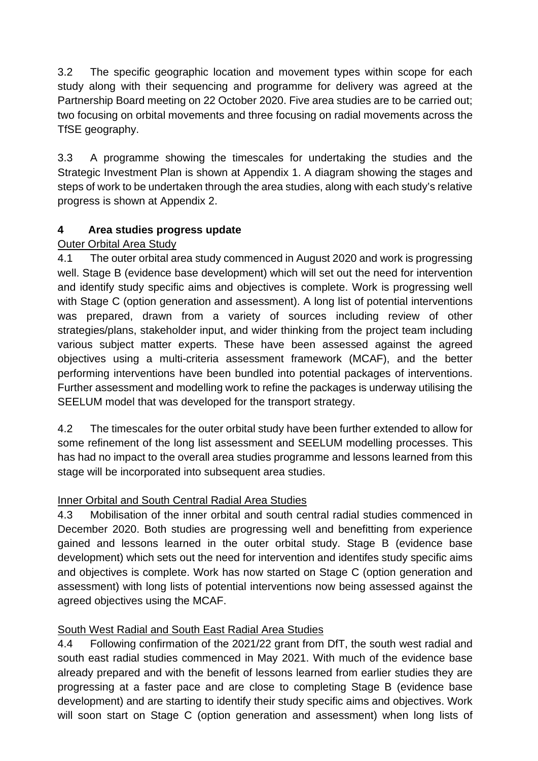3.2 The specific geographic location and movement types within scope for each study along with their sequencing and programme for delivery was agreed at the Partnership Board meeting on 22 October 2020. Five area studies are to be carried out; two focusing on orbital movements and three focusing on radial movements across the TfSE geography.

3.3 A programme showing the timescales for undertaking the studies and the Strategic Investment Plan is shown at Appendix 1. A diagram showing the stages and steps of work to be undertaken through the area studies, along with each study's relative progress is shown at Appendix 2.

### **4 Area studies progress update**

### Outer Orbital Area Study

4.1 The outer orbital area study commenced in August 2020 and work is progressing well. Stage B (evidence base development) which will set out the need for intervention and identify study specific aims and objectives is complete. Work is progressing well with Stage C (option generation and assessment). A long list of potential interventions was prepared, drawn from a variety of sources including review of other strategies/plans, stakeholder input, and wider thinking from the project team including various subject matter experts. These have been assessed against the agreed objectives using a multi-criteria assessment framework (MCAF), and the better performing interventions have been bundled into potential packages of interventions. Further assessment and modelling work to refine the packages is underway utilising the SEELUM model that was developed for the transport strategy.

4.2 The timescales for the outer orbital study have been further extended to allow for some refinement of the long list assessment and SEELUM modelling processes. This has had no impact to the overall area studies programme and lessons learned from this stage will be incorporated into subsequent area studies.

# Inner Orbital and South Central Radial Area Studies

4.3 Mobilisation of the inner orbital and south central radial studies commenced in December 2020. Both studies are progressing well and benefitting from experience gained and lessons learned in the outer orbital study. Stage B (evidence base development) which sets out the need for intervention and identifes study specific aims and objectives is complete. Work has now started on Stage C (option generation and assessment) with long lists of potential interventions now being assessed against the agreed objectives using the MCAF.

# South West Radial and South East Radial Area Studies

4.4 Following confirmation of the 2021/22 grant from DfT, the south west radial and south east radial studies commenced in May 2021. With much of the evidence base already prepared and with the benefit of lessons learned from earlier studies they are progressing at a faster pace and are close to completing Stage B (evidence base development) and are starting to identify their study specific aims and objectives. Work will soon start on Stage C (option generation and assessment) when long lists of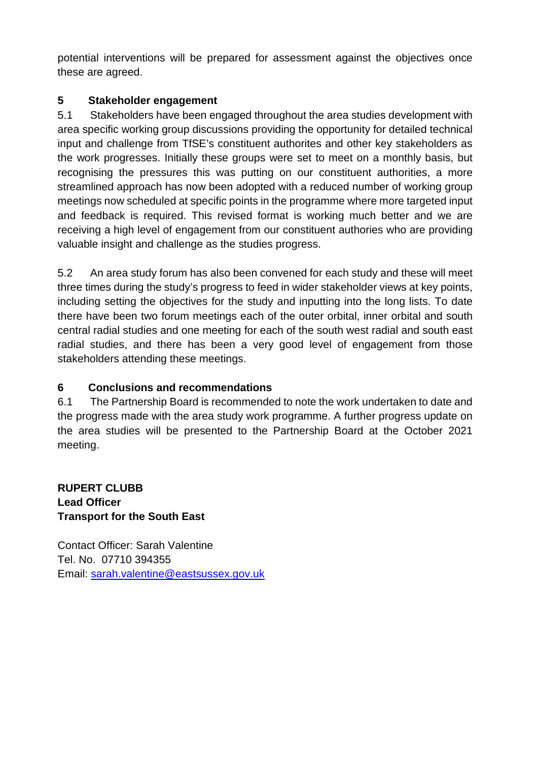potential interventions will be prepared for assessment against the objectives once these are agreed.

# **5 Stakeholder engagement**

5.1 Stakeholders have been engaged throughout the area studies development with area specific working group discussions providing the opportunity for detailed technical input and challenge from TfSE's constituent authorites and other key stakeholders as the work progresses. Initially these groups were set to meet on a monthly basis, but recognising the pressures this was putting on our constituent authorities, a more streamlined approach has now been adopted with a reduced number of working group meetings now scheduled at specific points in the programme where more targeted input and feedback is required. This revised format is working much better and we are receiving a high level of engagement from our constituent authories who are providing valuable insight and challenge as the studies progress.

5.2 An area study forum has also been convened for each study and these will meet three times during the study's progress to feed in wider stakeholder views at key points, including setting the objectives for the study and inputting into the long lists. To date there have been two forum meetings each of the outer orbital, inner orbital and south central radial studies and one meeting for each of the south west radial and south east radial studies, and there has been a very good level of engagement from those stakeholders attending these meetings.

# **6 Conclusions and recommendations**

6.1 The Partnership Board is recommended to note the work undertaken to date and the progress made with the area study work programme. A further progress update on the area studies will be presented to the Partnership Board at the October 2021 meeting.

**RUPERT CLUBB Lead Officer Transport for the South East** 

Contact Officer: Sarah Valentine Tel. No. 07710 394355 Email: sarah.valentine@eastsussex.gov.uk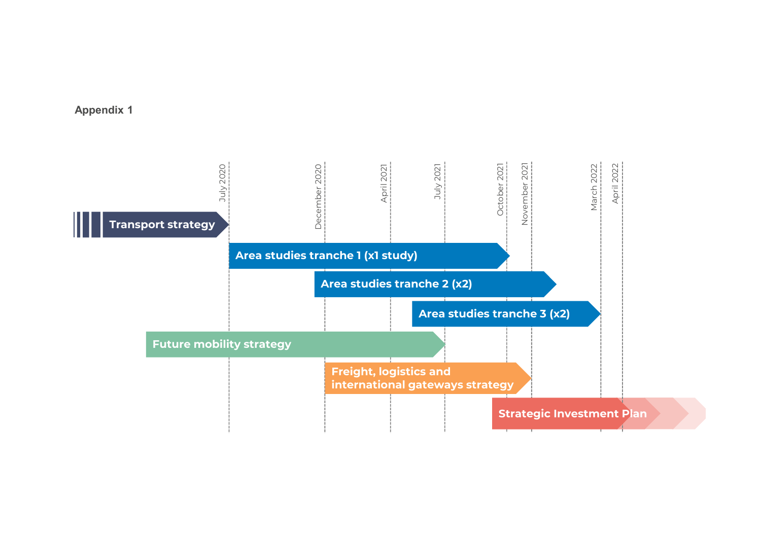

Appendix 1